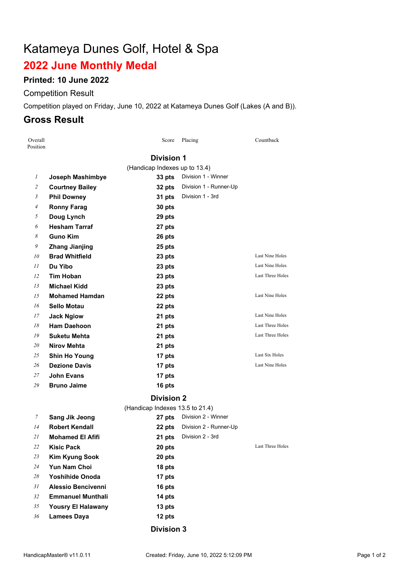# Katameya Dunes Golf, Hotel & Spa

# **June Monthly Medal**

### **Printed: 10 June 2022**

#### Competition Result

Competition played on Friday, June 10, 2022 at Katameya Dunes Golf (Lakes (A and B)).

# **Gross Result**

| Overall<br>Position |                           | Score                           | Placing                | Countback        |
|---------------------|---------------------------|---------------------------------|------------------------|------------------|
|                     |                           | <b>Division 1</b>               |                        |                  |
|                     |                           | (Handicap Indexes up to 13.4)   |                        |                  |
| 1                   | Joseph Mashimbye          | 33 pts                          | Division 1 - Winner    |                  |
| 2                   | <b>Courtney Bailey</b>    | 32 pts                          | Division 1 - Runner-Up |                  |
| 3                   | <b>Phil Downey</b>        | 31 pts                          | Division 1 - 3rd       |                  |
| 4                   | <b>Ronny Farag</b>        | 30 pts                          |                        |                  |
| 5                   | Doug Lynch                | 29 pts                          |                        |                  |
| 6                   | <b>Hesham Tarraf</b>      | 27 pts                          |                        |                  |
| 8                   | <b>Guno Kim</b>           | 26 pts                          |                        |                  |
| 9                   | <b>Zhang Jianjing</b>     | 25 pts                          |                        |                  |
| 10                  | <b>Brad Whitfield</b>     | 23 pts                          |                        | Last Nine Holes  |
| 11                  | Du Yibo                   | 23 pts                          |                        | Last Nine Holes  |
| 12                  | <b>Tim Hoban</b>          | 23 pts                          |                        | Last Three Holes |
| 13                  | <b>Michael Kidd</b>       | 23 pts                          |                        |                  |
| 15                  | <b>Mohamed Hamdan</b>     | 22 pts                          |                        | Last Nine Holes  |
| 16                  | <b>Sello Motau</b>        | 22 pts                          |                        |                  |
| 17                  | <b>Jack Ngiow</b>         | 21 pts                          |                        | Last Nine Holes  |
| 18                  | <b>Ham Daehoon</b>        | 21 pts                          |                        | Last Three Holes |
| 19                  | Suketu Mehta              | 21 pts                          |                        | Last Three Holes |
| 20                  | Nirov Mehta               | 21 pts                          |                        |                  |
| 25                  | <b>Shin Ho Young</b>      | 17 pts                          |                        | Last Six Holes   |
| 26                  | <b>Dezione Davis</b>      | 17 pts                          |                        | Last Nine Holes  |
| 27                  | John Evans                | 17 pts                          |                        |                  |
| 29                  | <b>Bruno Jaime</b>        | 16 pts                          |                        |                  |
|                     |                           | <b>Division 2</b>               |                        |                  |
|                     |                           | (Handicap Indexes 13.5 to 21.4) |                        |                  |
| 7                   | <b>Sang Jik Jeong</b>     | 27 pts                          | Division 2 - Winner    |                  |
| 14                  | <b>Robert Kendall</b>     | 22 pts                          | Division 2 - Runner-Up |                  |
| 21                  | <b>Mohamed El Afifi</b>   | 21 pts                          | Division 2 - 3rd       |                  |
| 22                  | Kisic Pack                | 20 pts                          |                        | Last Three Holes |
| 23                  | <b>Kim Kyung Sook</b>     | 20 pts                          |                        |                  |
| 24                  | Yun Nam Choi              | 18 pts                          |                        |                  |
| 28                  | <b>Yoshihide Onoda</b>    | 17 pts                          |                        |                  |
| 31                  | <b>Alessio Bencivenni</b> | 16 pts                          |                        |                  |
| 32                  | <b>Emmanuel Munthali</b>  | 14 pts                          |                        |                  |
| 35                  | <b>Yousry El Halawany</b> | 13 pts                          |                        |                  |
| 36                  | <b>Lamees Daya</b>        | 12 pts                          |                        |                  |
|                     |                           | <b>Division 3</b>               |                        |                  |